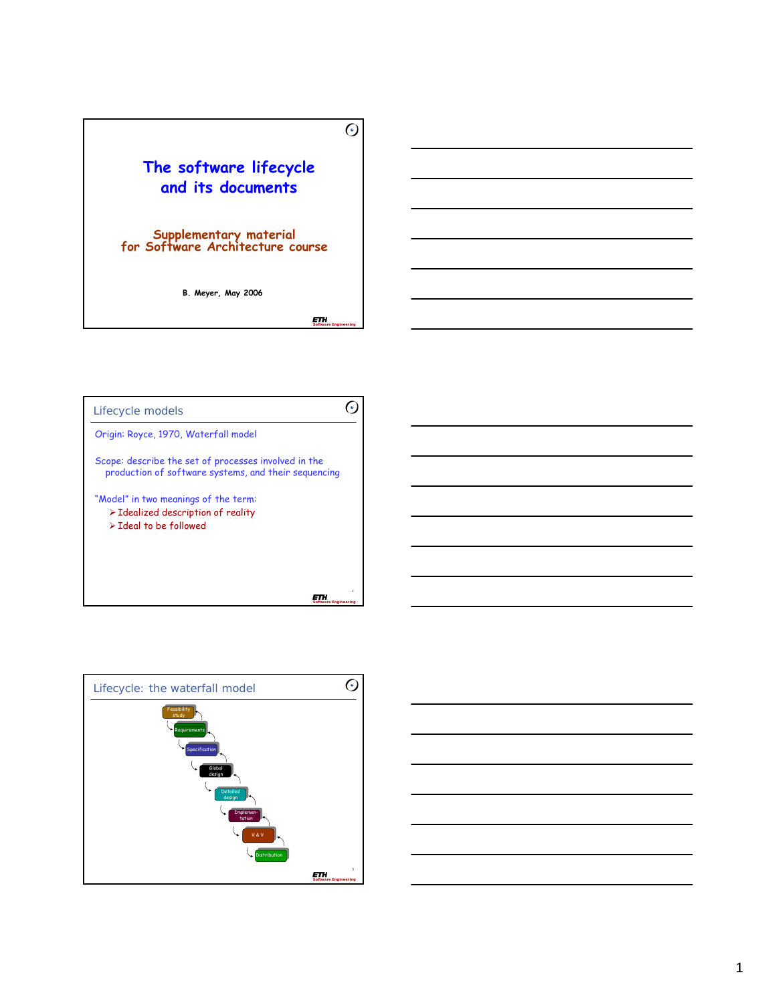## **The software lifecycle and its documents**

# **Supplementary material for Software Architecture course**

**B. Meyer, May 2006**

*Software Engineering*

 $\odot$ 





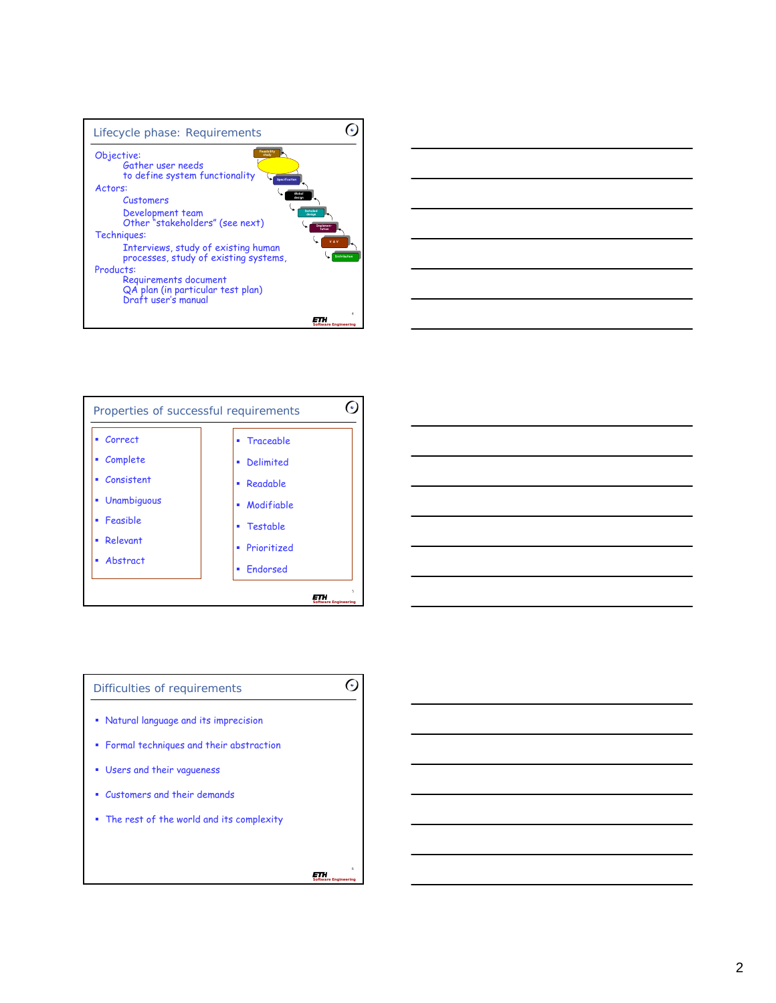







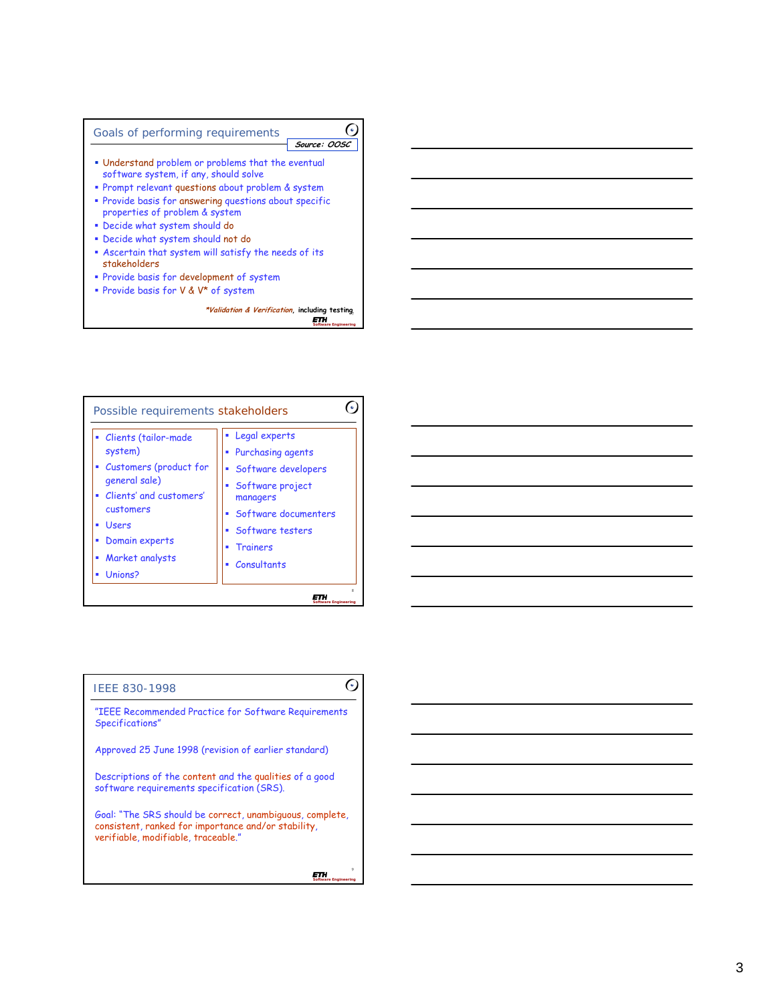



|  | IEEE 830-1998 |  |
|--|---------------|--|
|--|---------------|--|

"IEEE Recommended Practice for Software Requirements Specifications"

Approved 25 June 1998 (revision of earlier standard)

Descriptions of the content and the qualities of a good software requirements specification (SRS).

Goal: "The SRS should be correct, unambiguous, complete, consistent, ranked for importance and/or stability, verifiable, modifiable, traceable."

> ETH *Software Engineering*

9

 $\odot$ 

*Software Engineering*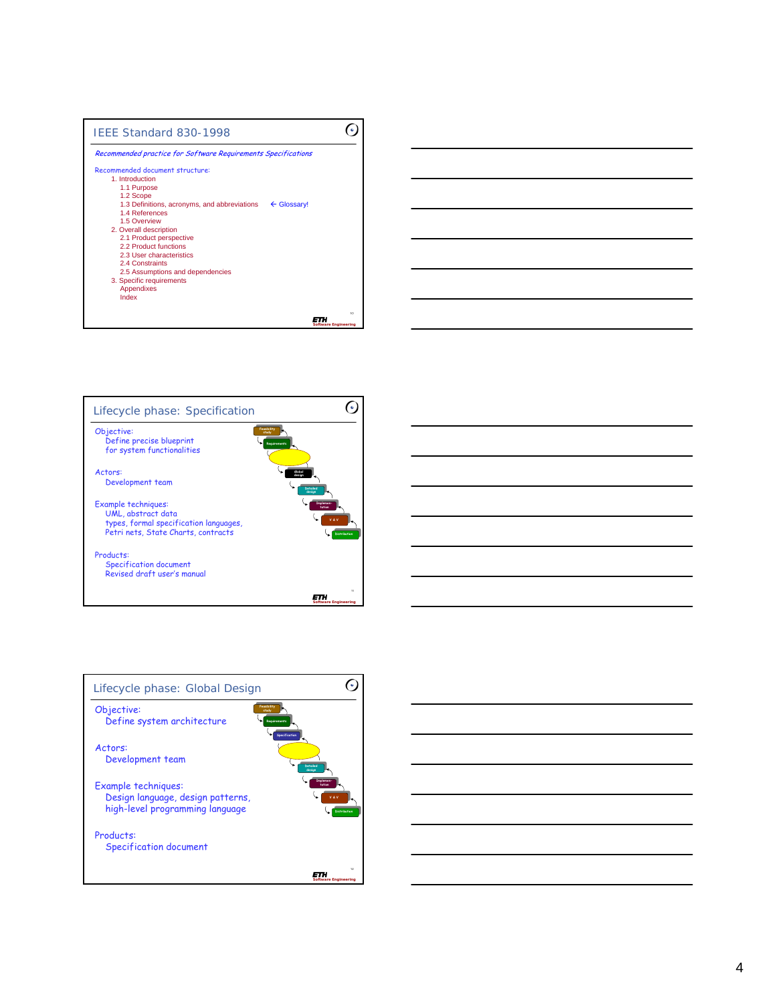







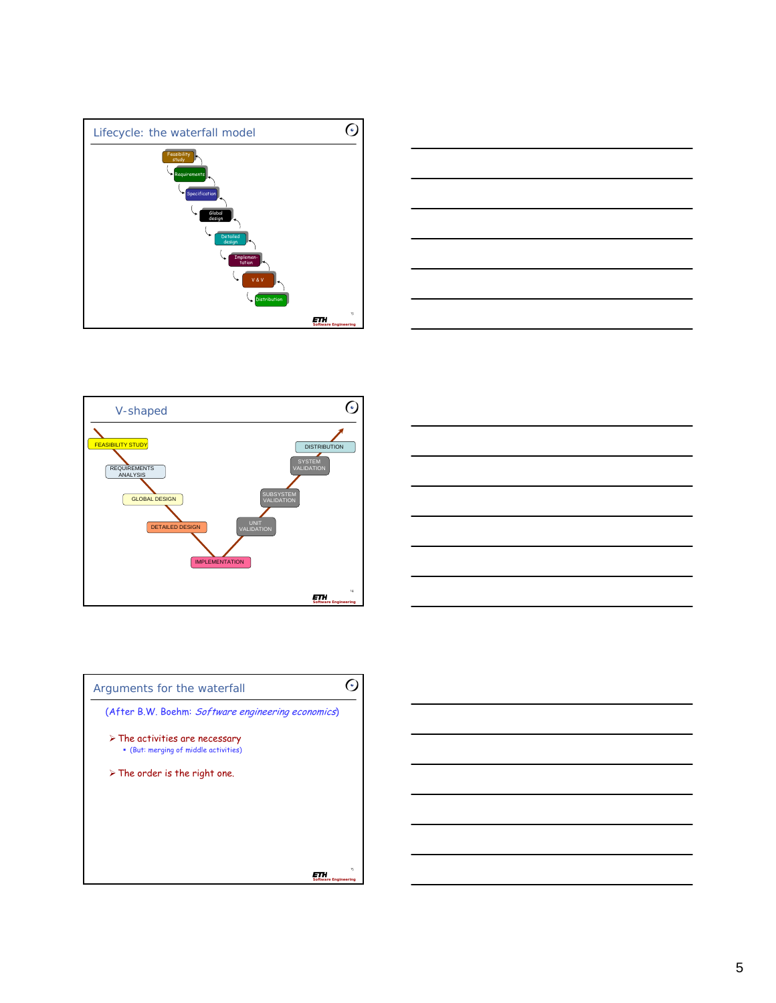







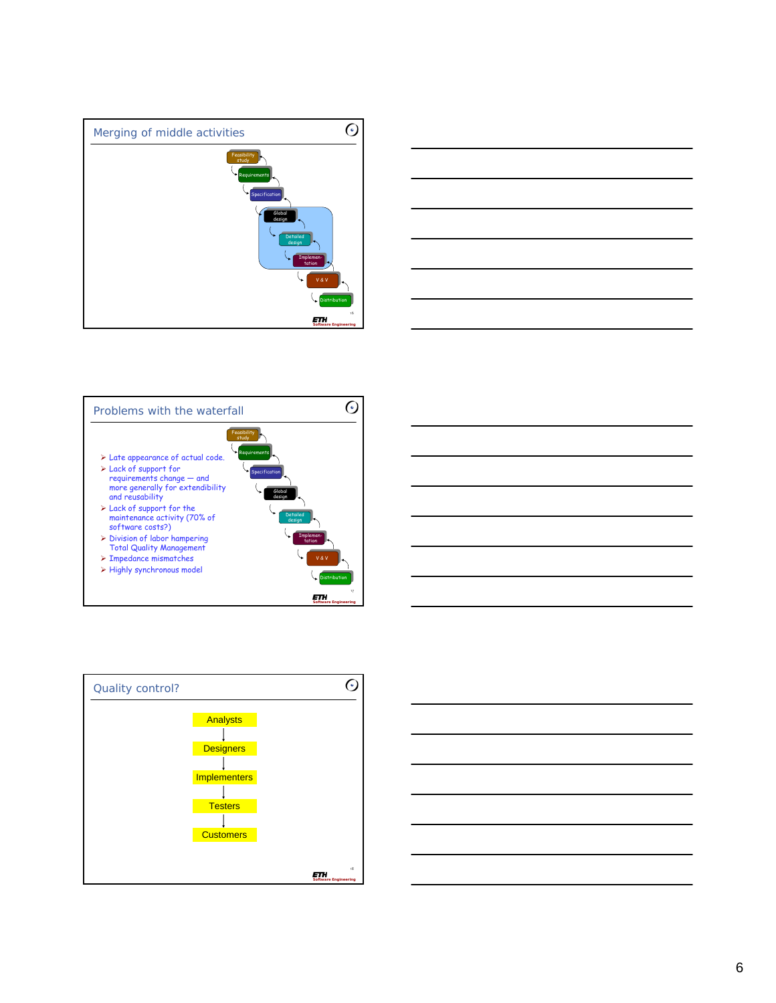









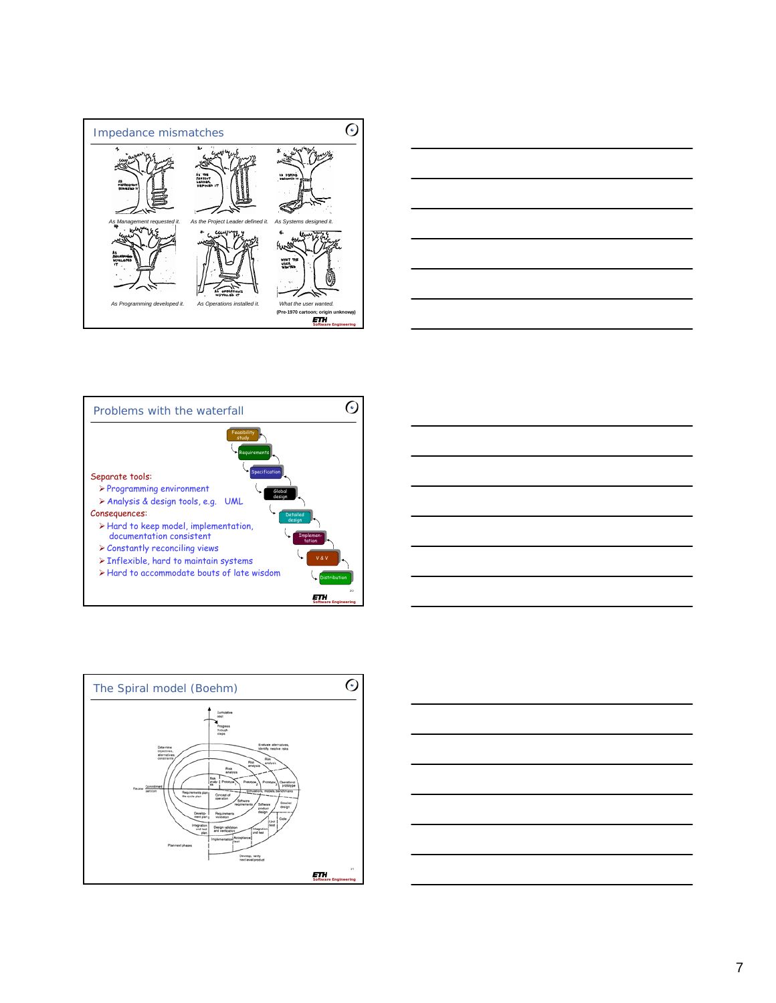









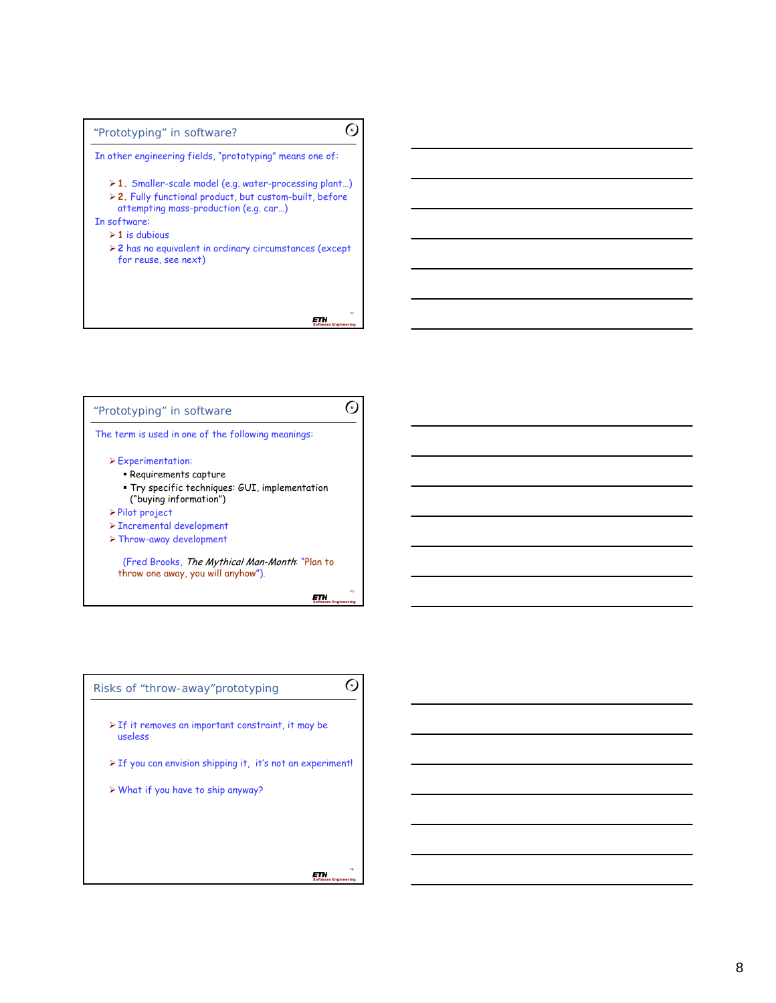



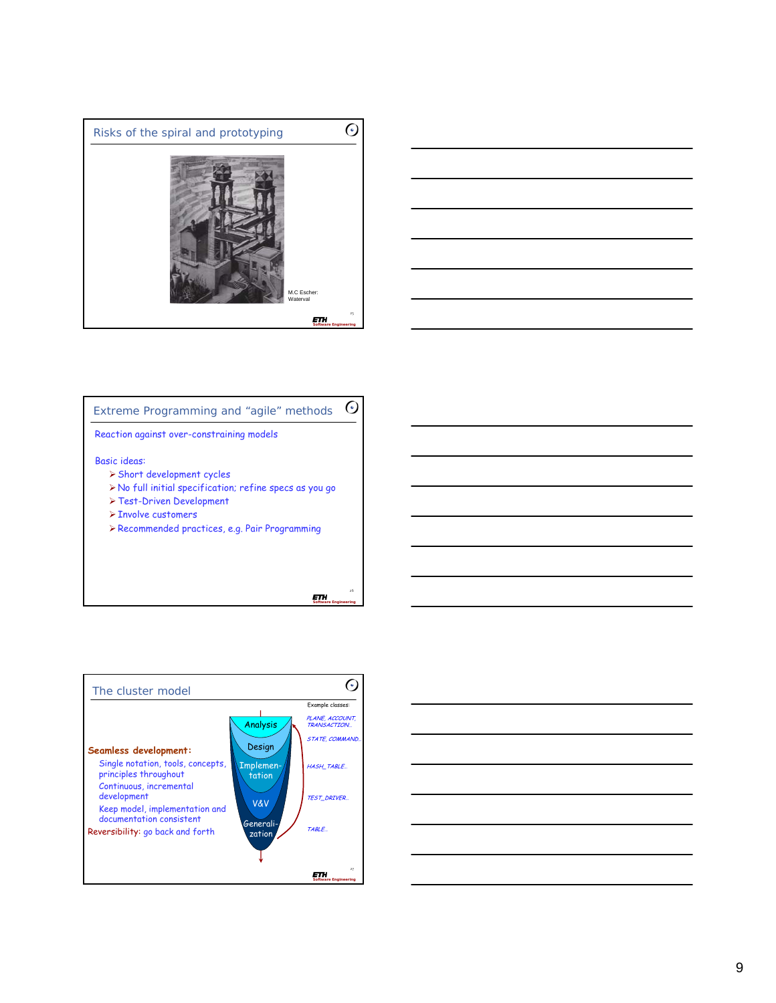



#### $\odot$ Extreme Programming and "agile" methods

Reaction against over-constraining models

### Basic ideas:

- ¾Short development cycles
- ¾No full initial specification; refine specs as you go
- ¾Test-Driven Development
- ¾Involve customers
- ¾Recommended practices, e.g. Pair Programming

**ETH** *Software Engineering*

26



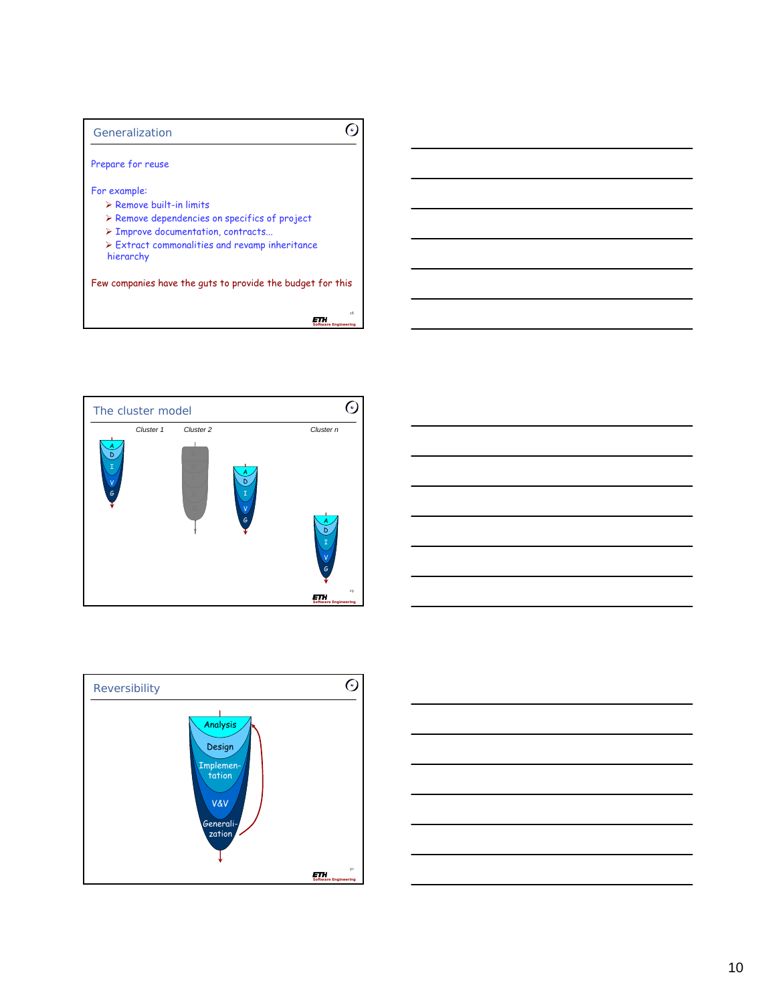## Generalization

Prepare for reuse

For example:

- $\triangleright$  Remove built-in limits
- ¾ Remove dependencies on specifics of project
- ¾ Improve documentation, contracts...
- ¾ Extract commonalities and revamp inheritance hierarchy

Few companies have the guts to provide the budget for this

28 *Software Engineering*

 $\odot$